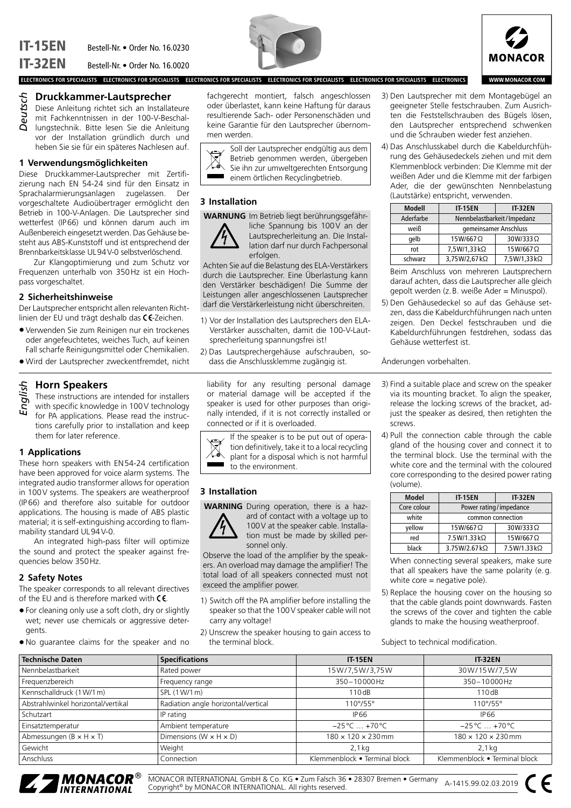



WWW.MONACOR.COM

### **Druckkammer-Lautsprecher**

Diese Anleitung richtet sich an Installateure mit Fachkenntnissen in der 100-V-Beschallungstechnik. Bitte lesen Sie die Anleitung vor der Installation gründlich durch und heben Sie sie für ein späteres Nachlesen auf. *Deutsch*

## **1 Verwendungsmöglichkeiten**

Diese Druckkammer-Lautsprecher mit Zertifizierung nach EN 54-24 sind für den Einsatz in Sprachalarmierungsanlagen zugelassen. Der vorgeschaltete Audioübertrager ermöglicht den Betrieb in 100-V-Anlagen. Die Lautsprecher sind wetterfest (IP66) und können darum auch im Außenbereich eingesetzt werden. Das Gehäuse besteht aus ABS-Kunststoff und ist entsprechend der Brennbarkeitsklasse UL94V-0 selbstverlöschend.

Zur Klangoptimierung und zum Schutz vor Frequenzen unterhalb von 350Hz ist ein Hochpass vorgeschaltet.

#### **2 Sicherheitshinweise**

Der Lautsprecher entspricht allen relevanten Richtlinien der EU und trägt deshalb das CE-Zeichen.

- Verwenden Sie zum Reinigen nur ein trockenes oder angefeuchtetes, weiches Tuch, auf keinen Fall scharfe Reinigungsmittel oder Chemikalien.
- Wird der Lautsprecher zweckentfremdet, nicht

## **Horn Speakers**

These instructions are intended for installers

with specific knowledge in 100V technology for PA applications. Please read the instructions carefully prior to installation and keep them for later reference. *English*

#### **1 Applications**

These horn speakers with EN54-24 certification have been approved for voice alarm systems. The integrated audio transformer allows for operation in 100V systems. The speakers are weatherproof (IP66) and therefore also suitable for outdoor applications. The housing is made of ABS plastic material; it is self-extinguishing according to flammability standard UL94V-0.

An integrated high-pass filter will optimize the sound and protect the speaker against frequencies below 350Hz.

## **2 Safety Notes**

The speaker corresponds to all relevant directives of the EU and is therefore marked with  $\mathsf{CE}$ .

- For cleaning only use a soft cloth, dry or slightly wet; never use chemicals or aggressive detergents.
- No guarantee claims for the speaker and no

fachgerecht montiert, falsch angeschlossen oder überlastet, kann keine Haftung für daraus resultierende Sach- oder Personenschäden und keine Garantie für den Lautsprecher übernommen werden.



Soll der Lautsprecher endgültig aus dem Betrieb genommen werden, übergeben Sie ihn zur umweltgerechten Entsorgung einem örtlichen Recyclingbetrieb.

## **3 Installation**

**WARNUNG** Im Betrieb liegt berührungsgefähr-



liche Spannung bis 100V an der Lautsprecherleitung an. Die Installation darf nur durch Fachpersonal erfolgen.

Achten Sie auf die Belastung des ELA-Verstärkers durch die Lautsprecher. Eine Überlastung kann den Verstärker beschädigen! Die Summe der Leistungen aller angeschlossenen Lautsprecher darf die Verstärkerleistung nicht überschreiten.

- 1) Vor der Installation des Lautsprechers den ELA-Verstärker ausschalten, damit die 100-V-Lautsprecherleitung spannungsfrei ist!
- 2) Das Lautsprechergehäuse aufschrauben, sodass die Anschlussklemme zugängig ist.

liability for any resulting personal damage or material damage will be accepted if the speaker is used for other purposes than originally intended, if it is not correctly installed or connected or if it is overloaded.



If the speaker is to be put out of operation definitively, take it to a local recycling plant for a disposal which is not harmful to the environment.

## **3 Installation**

**WARNING** During operation, there is a haz-



ard of contact with a voltage up to 100V at the speaker cable. Installation must be made by skilled personnel only.

Observe the load of the amplifier by the speakers. An overload may damage the amplifier! The total load of all speakers connected must not exceed the amplifier power.

- 1) Switch off the PA amplifier before installing the speaker so that the 100V speaker cable will not carry any voltage!
- 2) Unscrew the speaker housing to gain access to the terminal block.
- 3) Den Lautsprecher mit dem Montagebügel an geeigneter Stelle festschrauben. Zum Ausrichten die Feststellschrauben des Bügels lösen, den Lautsprecher entsprechend schwenken und die Schrauben wieder fest anziehen.
- 4) Das Anschlusskabel durch die Kabeldurchführung des Gehäusedeckels ziehen und mit dem Klemmenblock verbinden: Die Klemme mit der weißen Ader und die Klemme mit der farbigen Ader, die der gewünschten Nennbelastung (Lautstärke) entspricht, verwenden.

| <b>Modell</b> | <b>IT-15EN</b>             | <b>IT-32EN</b> |
|---------------|----------------------------|----------------|
| Aderfarbe     | Nennbelastbarkeit/Impedanz |                |
| weiß          | gemeinsamer Anschluss      |                |
| qelb          | 15W/667Ω                   | 30W/333Ω       |
| rot           | 7,5W/1,33 kΩ               | 15W/667Ω       |
| schwarz       | 3,75W/2,67 kΩ              | 7,5W/1,33 kΩ   |

Beim Anschluss von mehreren Lautsprechern darauf achten, dass die Lautsprecher alle gleich gepolt werden (z.B. weiße Ader = Minuspol).

5) Den Gehäusedeckel so auf das Gehäuse setzen, dass die Kabeldurchführungen nach unten zeigen. Den Deckel festschrauben und die Kabeldurchführungen festdrehen, sodass das Gehäuse wetterfest ist.

#### Änderungen vorbehalten.

- 3) Find a suitable place and screw on the speaker via its mounting bracket. To align the speaker, release the locking screws of the bracket, adjust the speaker as desired, then retighten the screws.
- 4) Pull the connection cable through the cable gland of the housing cover and connect it to the terminal block. Use the terminal with the white core and the terminal with the coloured core corresponding to the desired power rating (volume).

| <b>Model</b> | <b>IT-15EN</b>         | <b>IT-32EN</b> |
|--------------|------------------------|----------------|
| Core colour  | Power rating/impedance |                |
| white        | common connection      |                |
| vellow       | 15W/667Ω               | 30W/333Ω       |
| red          | 7.5W/1.33 kΩ           | 15W/667Ω       |
| black        | 3.75W/2.67 kΩ          | 7.5W/1.33 kΩ   |

When connecting several speakers, make sure that all speakers have the same polarity (e.g. white core = negative pole).

5) Replace the housing cover on the housing so that the cable glands point downwards. Fasten the screws of the cover and tighten the cable glands to make the housing weatherproof.

Subject to technical modification.

| <b>Technische Daten</b>               | <b>Specifications</b>                | <b>IT-15EN</b>                 | <b>IT-32EN</b>                 |
|---------------------------------------|--------------------------------------|--------------------------------|--------------------------------|
| Nennbelastbarkeit                     | Rated power                          | 15W/7,5W/3,75W                 | 30W/15W/7,5W                   |
| Frequenzbereich                       | Frequency range                      | 350-10000Hz                    | 350-10000 Hz                   |
| Kennschalldruck (1 W/1 m)             | SPL (1 W/1 m)                        | 110dB                          | 110dB                          |
| Abstrahlwinkel horizontal/vertikal    | Radiation angle horizontal/vertical  | $110^{\circ}/55^{\circ}$       | $110^{\circ}/55^{\circ}$       |
| Schutzart                             | IP rating                            | <b>IP66</b>                    | IP 66                          |
| Einsatztemperatur                     | Ambient temperature                  | $-25^{\circ}$ C  +70 °C        | $-25^{\circ}$ C  +70 °C        |
| Abmessungen ( $B \times H \times T$ ) | Dimensions ( $W \times H \times D$ ) | $180 \times 120 \times 230$ mm | $180 \times 120 \times 230$ mm |
| Gewicht                               | Weight                               | $2,1$ kg                       | $2,1$ kg                       |
| Anschluss                             | Connection                           | Klemmenblock • Terminal block  | Klemmenblock • Terminal block  |



MONACOR INTERNATIONAL GmbH & Co. KG • Zum Falsch 36 • 28307 Bremen • Germany MONACOR INTERNATIONAL GMDH & Co. KG • Zum Falsch 36 • 28307 Bremen • Germany<br>Copyright® by MONACOR INTERNATIONAL. All rights reserved.